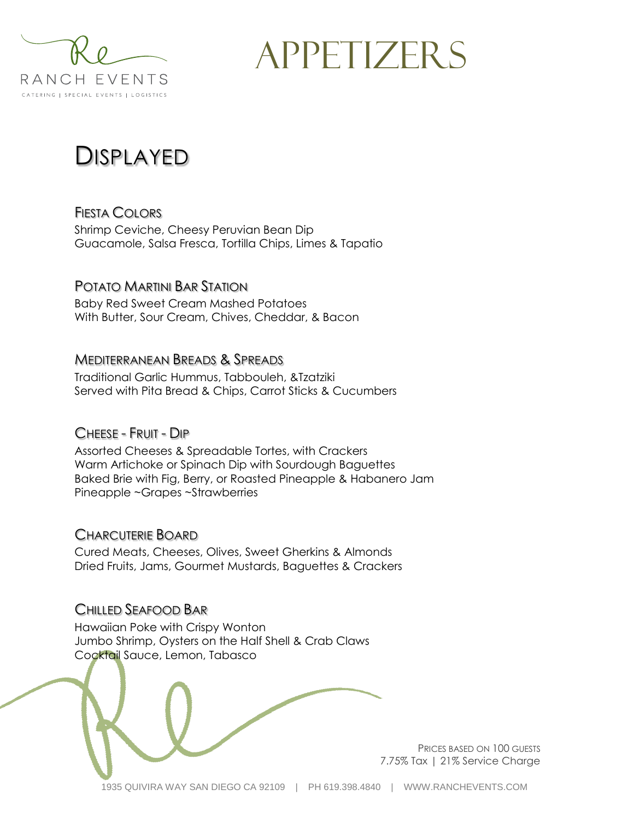

APPETIZERS

## DISPLAYED

FIESTA COLORS Shrimp Ceviche, Cheesy Peruvian Bean Dip Guacamole, Salsa Fresca, Tortilla Chips, Limes & Tapatio

#### POTATO MARTINI BAR STATION

Baby Red Sweet Cream Mashed Potatoes With Butter, Sour Cream, Chives, Cheddar, & Bacon

#### MEDITERRANEAN BREADS & SPREADS

Traditional Garlic Hummus, Tabbouleh, &Tzatziki Served with Pita Bread & Chips, Carrot Sticks & Cucumbers

#### CHEESE - FRUIT - DIP

Assorted Cheeses & Spreadable Tortes, with Crackers Warm Artichoke or Spinach Dip with Sourdough Baguettes Baked Brie with Fig, Berry, or Roasted Pineapple & Habanero Jam Pineapple ~Grapes ~Strawberries

#### CHARCUTERIE BOARD

Cured Meats, Cheeses, Olives, Sweet Gherkins & Almonds Dried Fruits, Jams, Gourmet Mustards, Baguettes & Crackers

#### CHILLED SEAFOOD BAR

Hawaiian Poke with Crispy Wonton Jumbo Shrimp, Oysters on the Half Shell & Crab Claws Cocktail Sauce, Lemon, Tabasco



PRICES BASED ON 100 GUESTS 7.75% Tax | 21% Service Charge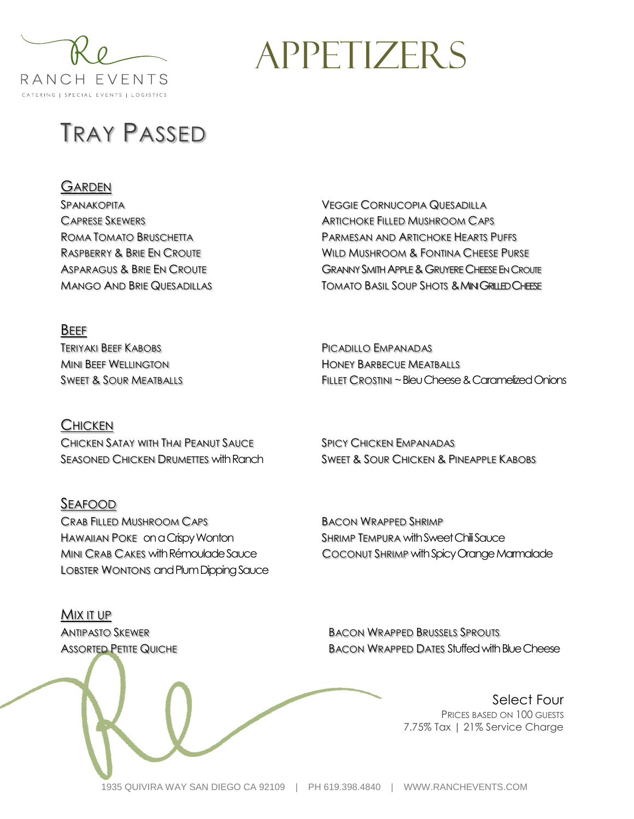

# **APPETIZERS**

PICADILLO EMPANADAS HONEY BARBECUE MEATBALLS

# TRAY PASSED

#### **GARDEN**

SPANAKOPITA CAPRESE SKEWERS ROMA TOMATO BRUSCHETTA RASPBERRY & BRIE EN CROUTE ASPARAGUS & BRIE EN CROUTE MANGO AND BRIE QUESADILLAS VEGGIE CORNUCOPIA QUESADILLA ARTICHOKE FILLED MUSHROOM CAPS PARMESAN AND ARTICHOKE HEARTS PUFFS WILD MUSHROOM & FONTINA CHEESE PURSE GRANNY SMITH APPLE & GRUYERE CHEESE EN CROUTE **TOMATO BASIL SOUP SHOTS & MINI GRILLED CHEESE** 

BEEF TERIYAKI BEEF KABOBS MINI BEEF WELLINGTON SWEET & SOUR MEATBALLS

#### **CHICKEN**

CHICKEN SATAY WITH THAI PEANUT SAUCE SEASONED CHICKEN DRUMETTES with Ranch

#### SEAFOOD

CRAB FILLED MUSHROOM CAPS HAWAIIAN POKE on a Crispy Wonton MINI CRAB CAKES with Rémoulade Sauce LOBSTER WONTONS and Plum Dipping Sauce SPICY CHICKEN EMPANADAS

FILLET CROSTINI ~ Bleu Cheese & Caramelized Onions

SWEET & SOUR CHICKEN & PINEAPPLE KABOBS

BACON WRAPPED SHRIMP SHRIMP TEMPURA with Sweet Chili Sauce COCONUT SHRIMP with Spicy Orange Marmalade

MIX IT UP ANTIPASTO SKEWER **ASSORTED PETITE QUICHE** 

BACON WRAPPED BRUSSELS SPROUTS BACON WRAPPED DATES Stuffed with Blue Cheese

> Select Four PRICES BASED ON 100 GUESTS 7.75% Tax | 21% Service Charge